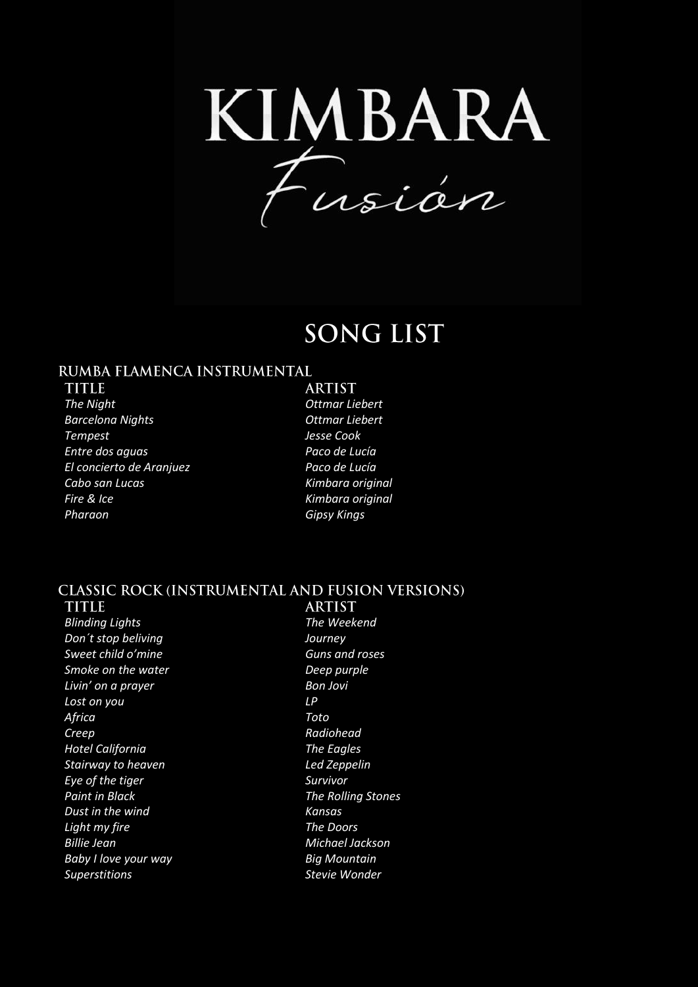KIMBARA<br>Fusián

# **SONG LIST**

### RUMBA FLAMENCA INSTRUMENTAL

**TITLE** *The Night Ottmar Liebert Barcelona Nights Ottmar Liebert Tempest Jesse Cook Entre dos aguas Paco de Lucía El concierto de Aranjuez Paco de Lucía Cabo san Lucas Kimbara original Fire & Ice Kimbara original Pharaon Gipsy Kings*

**ARTIST** 

## **CLASSIC ROCK (INSTRUMENTAL AND FUSION VERSIONS)**

**TITLE** *Blinding Lights The Weekend Don´t stop beliving Journey Sweet child o'mine Guns and roses Smoke on the water Deep purple Livin' on a prayer Bon Jovi Lost on you LP Africa Toto Creep Radiohead Hotel California The Eagles Stairway to heaven Led Zeppelin Eye of the tiger Survivor Paint in Black The Rolling Stones Dust in the wind Kansas Light my fire The Doors Billie Jean Michael Jackson Baby I love your way Big Mountain Superstitions Stevie Wonder*

**ARTIST**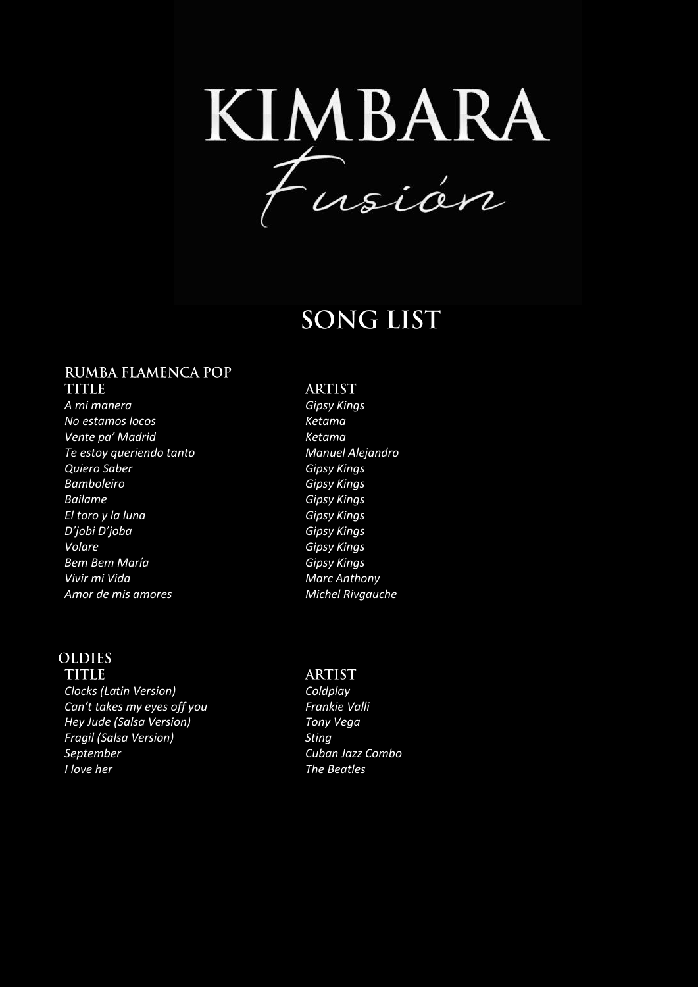KIMBARA<br>Fusián

# **SONG LIST**

# **RUMBA FLAMENCA POP**

**TITLE** *A mi manera Gipsy Kings No estamos locos Ketama Vente pa' Madrid Ketama Te estoy queriendo tanto Manuel Alejandro Quiero Saber Gipsy Kings Bamboleiro Gipsy Kings Bailame Gipsy Kings El toro y la luna Gipsy Kings D'jobi D'joba Gipsy Kings Volare Gipsy Kings Bem Bem María Gipsy Kings* **Vivir mi Vida** Marc Anthony *Amor de mis amores Michel Rivgauche*

### **OLDIES**

**TITIR** *Clocks (Latin Version) Coldplay Can't takes my eyes off you Frankie Valli Hey Jude (Salsa Version) Tony Vega Fragil (Salsa Version) Sting September Cuban Jazz Combo*

#### **ARTIST**

#### **ARTIST**

*I love her The Beatles*